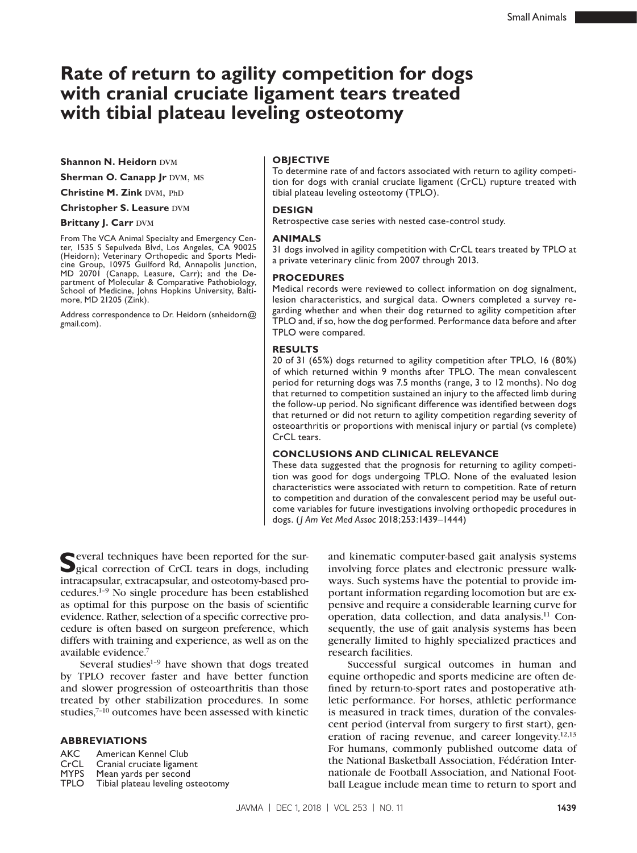# **Rate of return to agility competition for dogs with cranial cruciate ligament tears treated with tibial plateau leveling osteotomy**

**Shannon N. Heidorn DVM** 

**Sherman O. Canapp Jr DVM, MS** 

**Christine M. Zink DVM, PhD** 

**Christopher S. Leasure DVM** 

#### **Brittany J. Carr DVM**

From The VCA Animal Specialty and Emergency Center, 1535 S Sepulveda Blvd, Los Angeles, CA 90025 (Heidorn); Veterinary Orthopedic and Sports Medicine Group, 10975 Guilford Rd, Annapolis Junction, MD 20701 (Canapp, Leasure, Carr); and the Department of Molecular & Comparative Pathobiology, School of Medicine, Johns Hopkins University, Baltimore, MD 21205 (Zink).

[Address correspondence to Dr. Heidorn \(snheidorn@](mailto:snheidorn@gmail.com) gmail.com).

#### **OBJECTIVE**

To determine rate of and factors associated with return to agility competition for dogs with cranial cruciate ligament (CrCL) rupture treated with tibial plateau leveling osteotomy (TPLO).

#### **DESIGN**

Retrospective case series with nested case-control study.

#### **ANIMALS**

31 dogs involved in agility competition with CrCL tears treated by TPLO at a private veterinary clinic from 2007 through 2013.

#### **PROCEDURES**

Medical records were reviewed to collect information on dog signalment, lesion characteristics, and surgical data. Owners completed a survey regarding whether and when their dog returned to agility competition after TPLO and, if so, how the dog performed. Performance data before and after TPLO were compared.

#### **RESULTS**

20 of 31 (65%) dogs returned to agility competition after TPLO, 16 (80%) of which returned within 9 months after TPLO. The mean convalescent period for returning dogs was 7.5 months (range, 3 to 12 months). No dog that returned to competition sustained an injury to the affected limb during the follow-up period. No significant difference was identified between dogs that returned or did not return to agility competition regarding severity of osteoarthritis or proportions with meniscal injury or partial (vs complete) CrCL tears.

#### **CONCLUSIONS AND CLINICAL RELEVANCE**

These data suggested that the prognosis for returning to agility competition was good for dogs undergoing TPLO. None of the evaluated lesion characteristics were associated with return to competition. Rate of return to competition and duration of the convalescent period may be useful outcome variables for future investigations involving orthopedic procedures in dogs. (*J Am Vet Med Assoc* 2018;253:1439–1444)

Several techniques have been reported for the sur-<br>gical correction of CrCL tears in dogs, including intracapsular, extracapsular, and osteotomy-based procedures.1–9 No single procedure has been established as optimal for this purpose on the basis of scientific evidence. Rather, selection of a specific corrective procedure is often based on surgeon preference, which differs with training and experience, as well as on the available evidence.

Several studies $1-9$  have shown that dogs treated by TPLO recover faster and have better function and slower progression of osteoarthritis than those treated by other stabilization procedures. In some studies,7–10 outcomes have been assessed with kinetic

#### **ABBREVIATIONS**

AKC American Kennel Club<br>CrCL Cranial cruciate ligame CrCL Cranial cruciate ligament<br>MYPS Mean vards per second MYPS Mean yards per second<br>TPLO Tibial plateau leveling os Tibial plateau leveling osteotomy and kinematic computer-based gait analysis systems involving force plates and electronic pressure walkways. Such systems have the potential to provide important information regarding locomotion but are expensive and require a considerable learning curve for operation, data collection, and data analysis.11 Consequently, the use of gait analysis systems has been generally limited to highly specialized practices and research facilities.

Successful surgical outcomes in human and equine orthopedic and sports medicine are often defined by return-to-sport rates and postoperative athletic performance. For horses, athletic performance is measured in track times, duration of the convalescent period (interval from surgery to first start), generation of racing revenue, and career longevity.12,13 For humans, commonly published outcome data of the National Basketball Association, Fédération Internationale de Football Association, and National Football League include mean time to return to sport and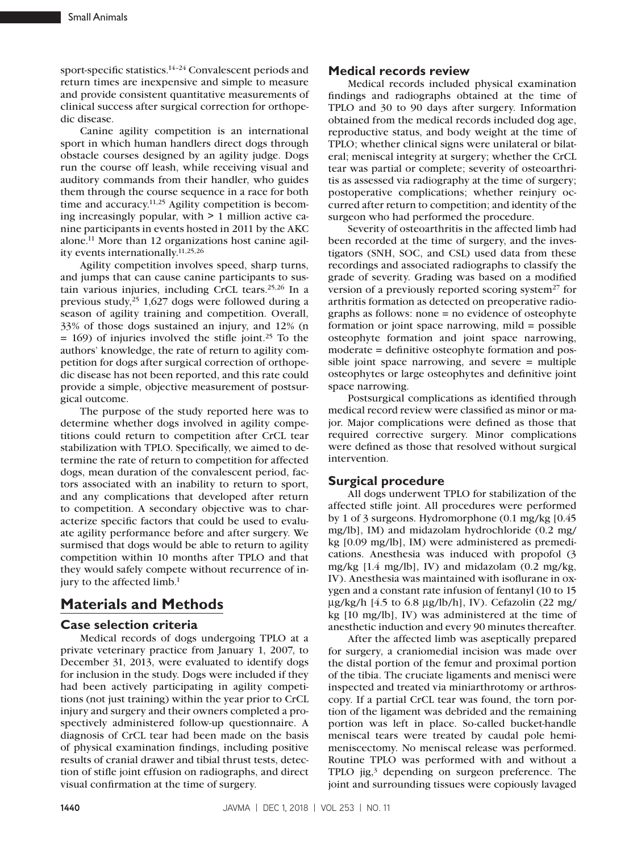sport-specific statistics.<sup>14-24</sup> Convalescent periods and return times are inexpensive and simple to measure and provide consistent quantitative measurements of clinical success after surgical correction for orthopedic disease.

Canine agility competition is an international sport in which human handlers direct dogs through obstacle courses designed by an agility judge. Dogs run the course off leash, while receiving visual and auditory commands from their handler, who guides them through the course sequence in a race for both time and accuracy.<sup>11,25</sup> Agility competition is becoming increasingly popular, with > 1 million active canine participants in events hosted in 2011 by the AKC alone.11 More than 12 organizations host canine agility events internationally.11,25,26

Agility competition involves speed, sharp turns, and jumps that can cause canine participants to sustain various injuries, including CrCL tears.25,26 In a previous study,25 1,627 dogs were followed during a season of agility training and competition. Overall, 33% of those dogs sustained an injury, and 12% (n  $= 169$ ) of injuries involved the stifle joint.<sup>25</sup> To the authors' knowledge, the rate of return to agility competition for dogs after surgical correction of orthopedic disease has not been reported, and this rate could provide a simple, objective measurement of postsurgical outcome.

The purpose of the study reported here was to determine whether dogs involved in agility competitions could return to competition after CrCL tear stabilization with TPLO. Specifically, we aimed to determine the rate of return to competition for affected dogs, mean duration of the convalescent period, factors associated with an inability to return to sport, and any complications that developed after return to competition. A secondary objective was to characterize specific factors that could be used to evaluate agility performance before and after surgery. We surmised that dogs would be able to return to agility competition within 10 months after TPLO and that they would safely compete without recurrence of injury to the affected limb.<sup>1</sup>

## **Materials and Methods**

### **Case selection criteria**

Medical records of dogs undergoing TPLO at a private veterinary practice from January 1, 2007, to December 31, 2013, were evaluated to identify dogs for inclusion in the study. Dogs were included if they had been actively participating in agility competitions (not just training) within the year prior to CrCL injury and surgery and their owners completed a prospectively administered follow-up questionnaire. A diagnosis of CrCL tear had been made on the basis of physical examination findings, including positive results of cranial drawer and tibial thrust tests, detection of stifle joint effusion on radiographs, and direct visual confirmation at the time of surgery.

## **Medical records review**

Medical records included physical examination findings and radiographs obtained at the time of TPLO and 30 to 90 days after surgery. Information obtained from the medical records included dog age, reproductive status, and body weight at the time of TPLO; whether clinical signs were unilateral or bilateral; meniscal integrity at surgery; whether the CrCL tear was partial or complete; severity of osteoarthritis as assessed via radiography at the time of surgery; postoperative complications; whether reinjury occurred after return to competition; and identity of the surgeon who had performed the procedure.

Severity of osteoarthritis in the affected limb had been recorded at the time of surgery, and the investigators (SNH, SOC, and CSL) used data from these recordings and associated radiographs to classify the grade of severity. Grading was based on a modified version of a previously reported scoring system<sup>27</sup> for arthritis formation as detected on preoperative radiographs as follows: none = no evidence of osteophyte formation or joint space narrowing, mild = possible osteophyte formation and joint space narrowing, moderate = definitive osteophyte formation and possible joint space narrowing, and severe = multiple osteophytes or large osteophytes and definitive joint space narrowing.

Postsurgical complications as identified through medical record review were classified as minor or major. Major complications were defined as those that required corrective surgery. Minor complications were defined as those that resolved without surgical intervention.

### **Surgical procedure**

All dogs underwent TPLO for stabilization of the affected stifle joint. All procedures were performed by 1 of 3 surgeons. Hydromorphone (0.1 mg/kg [0.45 mg/lb], IM) and midazolam hydrochloride (0.2 mg/ kg [0.09 mg/lb], IM) were administered as premedications. Anesthesia was induced with propofol (3 mg/kg [1.4 mg/lb], IV) and midazolam (0.2 mg/kg, IV). Anesthesia was maintained with isoflurane in oxygen and a constant rate infusion of fentanyl (10 to 15  $\mu$ g/kg/h [4.5 to 6.8  $\mu$ g/lb/h], IV). Cefazolin (22 mg/ kg [10 mg/lb], IV) was administered at the time of anesthetic induction and every 90 minutes thereafter.

After the affected limb was aseptically prepared for surgery, a craniomedial incision was made over the distal portion of the femur and proximal portion of the tibia. The cruciate ligaments and menisci were inspected and treated via miniarthrotomy or arthroscopy. If a partial CrCL tear was found, the torn portion of the ligament was debrided and the remaining portion was left in place. So-called bucket-handle meniscal tears were treated by caudal pole hemimeniscectomy. No meniscal release was performed. Routine TPLO was performed with and without a TPLO jig, $3$  depending on surgeon preference. The joint and surrounding tissues were copiously lavaged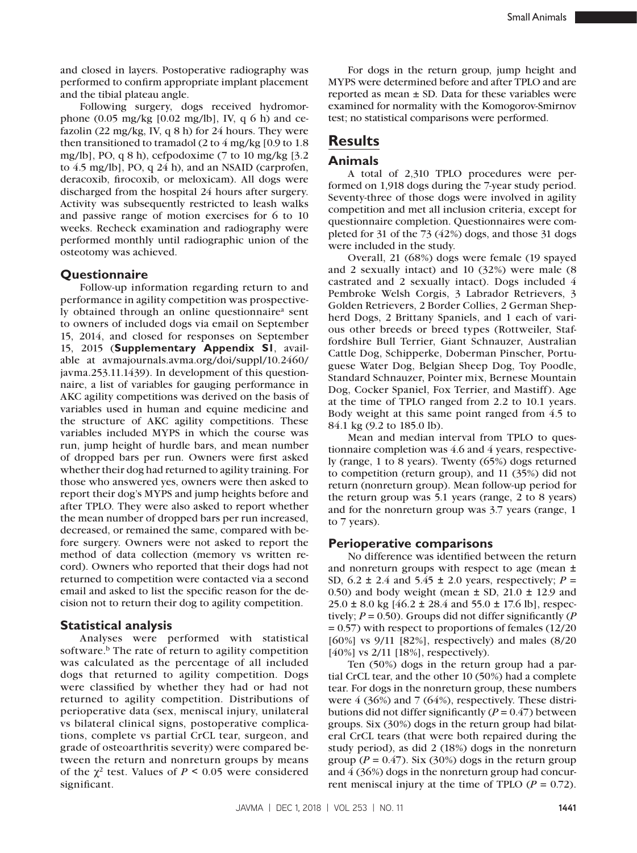and closed in layers. Postoperative radiography was performed to confirm appropriate implant placement and the tibial plateau angle.

Following surgery, dogs received hydromorphone  $(0.05 \text{ mg/kg} [0.02 \text{ mg/lb}]$ , IV, q 6 h) and cefazolin (22 mg/kg, IV, q 8 h) for 24 hours. They were then transitioned to tramadol (2 to  $4 \text{ mg/kg}$  [0.9 to 1.8 mg/lb], PO, q 8 h), cefpodoxime (7 to 10 mg/kg [3.2 to 4.5 mg/lb], PO, q 24 h), and an NSAID (carprofen, deracoxib, firocoxib, or meloxicam). All dogs were discharged from the hospital 24 hours after surgery. Activity was subsequently restricted to leash walks and passive range of motion exercises for 6 to 10 weeks. Recheck examination and radiography were performed monthly until radiographic union of the osteotomy was achieved.

## **Questionnaire**

Follow-up information regarding return to and performance in agility competition was prospectively obtained through an online questionnaire<sup>a</sup> sent to owners of included dogs via email on September 15, 2014, and closed for responses on September 15, 2015 (**Supplementary Appendix S1**, available at [avmajournals.avma.org/doi/suppl/10.2460/](http://avmajournals.avma.org/doi/suppl/10.2460/javma.253.11.1439) [javma.253.11.1439\)](http://avmajournals.avma.org/doi/suppl/10.2460/javma.253.11.1439). In development of this questionnaire, a list of variables for gauging performance in AKC agility competitions was derived on the basis of variables used in human and equine medicine and the structure of AKC agility competitions. These variables included MYPS in which the course was run, jump height of hurdle bars, and mean number of dropped bars per run. Owners were first asked whether their dog had returned to agility training. For those who answered yes, owners were then asked to report their dog's MYPS and jump heights before and after TPLO. They were also asked to report whether the mean number of dropped bars per run increased, decreased, or remained the same, compared with before surgery. Owners were not asked to report the method of data collection (memory vs written record). Owners who reported that their dogs had not returned to competition were contacted via a second email and asked to list the specific reason for the decision not to return their dog to agility competition.

### **Statistical analysis**

Analyses were performed with statistical software.<sup>b</sup> The rate of return to agility competition was calculated as the percentage of all included dogs that returned to agility competition. Dogs were classified by whether they had or had not returned to agility competition. Distributions of perioperative data (sex, meniscal injury, unilateral vs bilateral clinical signs, postoperative complications, complete vs partial CrCL tear, surgeon, and grade of osteoarthritis severity) were compared between the return and nonreturn groups by means of the  $\chi^2$  test. Values of  $P \le 0.05$  were considered significant.

For dogs in the return group, jump height and MYPS were determined before and after TPLO and are reported as mean  $\pm$  SD. Data for these variables were examined for normality with the Komogorov-Smirnov test; no statistical comparisons were performed.

## **Results**

### **Animals**

A total of 2,310 TPLO procedures were performed on 1,918 dogs during the 7-year study period. Seventy-three of those dogs were involved in agility competition and met all inclusion criteria, except for questionnaire completion. Questionnaires were completed for 31 of the 73 (42%) dogs, and those 31 dogs were included in the study.

Overall, 21 (68%) dogs were female (19 spayed and 2 sexually intact) and 10 (32%) were male (8 castrated and 2 sexually intact). Dogs included 4 Pembroke Welsh Corgis, 3 Labrador Retrievers, 3 Golden Retrievers, 2 Border Collies, 2 German Shepherd Dogs, 2 Brittany Spaniels, and 1 each of various other breeds or breed types (Rottweiler, Staffordshire Bull Terrier, Giant Schnauzer, Australian Cattle Dog, Schipperke, Doberman Pinscher, Portuguese Water Dog, Belgian Sheep Dog, Toy Poodle, Standard Schnauzer, Pointer mix, Bernese Mountain Dog, Cocker Spaniel, Fox Terrier, and Mastiff). Age at the time of TPLO ranged from 2.2 to 10.1 years. Body weight at this same point ranged from 4.5 to 84.1 kg (9.2 to 185.0 lb).

Mean and median interval from TPLO to questionnaire completion was 4.6 and 4 years, respectively (range, 1 to 8 years). Twenty (65%) dogs returned to competition (return group), and 11 (35%) did not return (nonreturn group). Mean follow-up period for the return group was 5.1 years (range, 2 to 8 years) and for the nonreturn group was 3.7 years (range, 1 to 7 years).

#### **Perioperative comparisons**

No difference was identified between the return and nonreturn groups with respect to age (mean ± SD,  $6.2 \pm 2.4$  and  $5.45 \pm 2.0$  years, respectively;  $P =$ 0.50) and body weight (mean  $\pm$  SD, 21.0  $\pm$  12.9 and  $25.0 \pm 8.0$  kg [46.2  $\pm$  28.4 and 55.0  $\pm$  17.6 lb], respectively; *P* = 0.50). Groups did not differ significantly (*P* = 0.57) with respect to proportions of females (12/20 [60%] vs 9/11 [82%], respectively) and males (8/20 [40%] vs 2/11 [18%], respectively).

Ten (50%) dogs in the return group had a partial CrCL tear, and the other 10 (50%) had a complete tear. For dogs in the nonreturn group, these numbers were 4 (36%) and 7 (64%), respectively. These distributions did not differ significantly  $(P = 0.47)$  between groups. Six (30%) dogs in the return group had bilateral CrCL tears (that were both repaired during the study period), as did 2 (18%) dogs in the nonreturn group ( $P = 0.47$ ). Six (30%) dogs in the return group and 4 (36%) dogs in the nonreturn group had concurrent meniscal injury at the time of TPLO  $(P = 0.72)$ .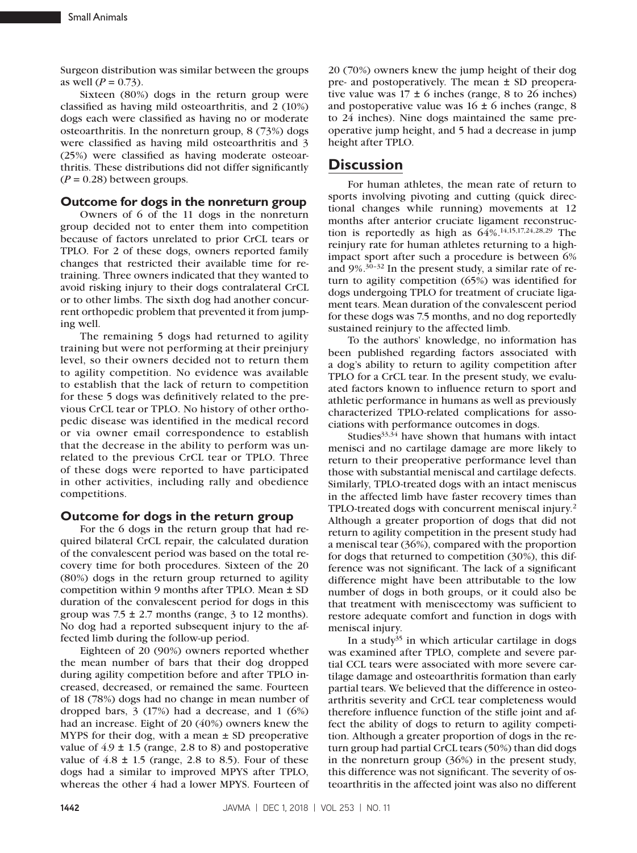Surgeon distribution was similar between the groups as well  $(P = 0.73)$ .

Sixteen (80%) dogs in the return group were classified as having mild osteoarthritis, and 2 (10%) dogs each were classified as having no or moderate osteoarthritis. In the nonreturn group, 8 (73%) dogs were classified as having mild osteoarthritis and 3 (25%) were classified as having moderate osteoarthritis. These distributions did not differ significantly  $(P = 0.28)$  between groups.

## **Outcome for dogs in the nonreturn group**

Owners of 6 of the 11 dogs in the nonreturn group decided not to enter them into competition because of factors unrelated to prior CrCL tears or TPLO. For 2 of these dogs, owners reported family changes that restricted their available time for retraining. Three owners indicated that they wanted to avoid risking injury to their dogs contralateral CrCL or to other limbs. The sixth dog had another concurrent orthopedic problem that prevented it from jumping well.

The remaining 5 dogs had returned to agility training but were not performing at their preinjury level, so their owners decided not to return them to agility competition. No evidence was available to establish that the lack of return to competition for these 5 dogs was definitively related to the previous CrCL tear or TPLO. No history of other orthopedic disease was identified in the medical record or via owner email correspondence to establish that the decrease in the ability to perform was unrelated to the previous CrCL tear or TPLO. Three of these dogs were reported to have participated in other activities, including rally and obedience competitions.

### **Outcome for dogs in the return group**

For the 6 dogs in the return group that had required bilateral CrCL repair, the calculated duration of the convalescent period was based on the total recovery time for both procedures. Sixteen of the 20 (80%) dogs in the return group returned to agility competition within 9 months after TPLO. Mean ± SD duration of the convalescent period for dogs in this group was  $7.5 \pm 2.7$  months (range, 3 to 12 months). No dog had a reported subsequent injury to the affected limb during the follow-up period.

Eighteen of 20 (90%) owners reported whether the mean number of bars that their dog dropped during agility competition before and after TPLO increased, decreased, or remained the same. Fourteen of 18 (78%) dogs had no change in mean number of dropped bars, 3 (17%) had a decrease, and 1 (6%) had an increase. Eight of 20 (40%) owners knew the MYPS for their dog, with a mean  $\pm$  SD preoperative value of  $4.9 \pm 1.5$  (range, 2.8 to 8) and postoperative value of  $4.8 \pm 1.5$  (range, 2.8 to 8.5). Four of these dogs had a similar to improved MPYS after TPLO, whereas the other 4 had a lower MPYS. Fourteen of

20 (70%) owners knew the jump height of their dog pre- and postoperatively. The mean ± SD preoperative value was  $17 \pm 6$  inches (range, 8 to 26 inches) and postoperative value was  $16 \pm 6$  inches (range, 8) to 24 inches). Nine dogs maintained the same preoperative jump height, and 5 had a decrease in jump height after TPLO.

## **Discussion**

For human athletes, the mean rate of return to sports involving pivoting and cutting (quick directional changes while running) movements at 12 months after anterior cruciate ligament reconstruction is reportedly as high as 64%.14,15,17,24,28,29 The reinjury rate for human athletes returning to a highimpact sport after such a procedure is between 6% and 9%.30–32 In the present study, a similar rate of return to agility competition (65%) was identified for dogs undergoing TPLO for treatment of cruciate ligament tears. Mean duration of the convalescent period for these dogs was 7.5 months, and no dog reportedly sustained reinjury to the affected limb.

To the authors' knowledge, no information has been published regarding factors associated with a dog's ability to return to agility competition after TPLO for a CrCL tear. In the present study, we evaluated factors known to influence return to sport and athletic performance in humans as well as previously characterized TPLO-related complications for associations with performance outcomes in dogs.

Studies $33,34$  have shown that humans with intact menisci and no cartilage damage are more likely to return to their preoperative performance level than those with substantial meniscal and cartilage defects. Similarly, TPLO-treated dogs with an intact meniscus in the affected limb have faster recovery times than TPLO-treated dogs with concurrent meniscal injury.2 Although a greater proportion of dogs that did not return to agility competition in the present study had a meniscal tear (36%), compared with the proportion for dogs that returned to competition (30%), this difference was not significant. The lack of a significant difference might have been attributable to the low number of dogs in both groups, or it could also be that treatment with meniscectomy was sufficient to restore adequate comfort and function in dogs with meniscal injury.

In a study<sup>35</sup> in which articular cartilage in dogs was examined after TPLO, complete and severe partial CCL tears were associated with more severe cartilage damage and osteoarthritis formation than early partial tears. We believed that the difference in osteoarthritis severity and CrCL tear completeness would therefore influence function of the stifle joint and affect the ability of dogs to return to agility competition. Although a greater proportion of dogs in the return group had partial CrCL tears (50%) than did dogs in the nonreturn group (36%) in the present study, this difference was not significant. The severity of osteoarthritis in the affected joint was also no different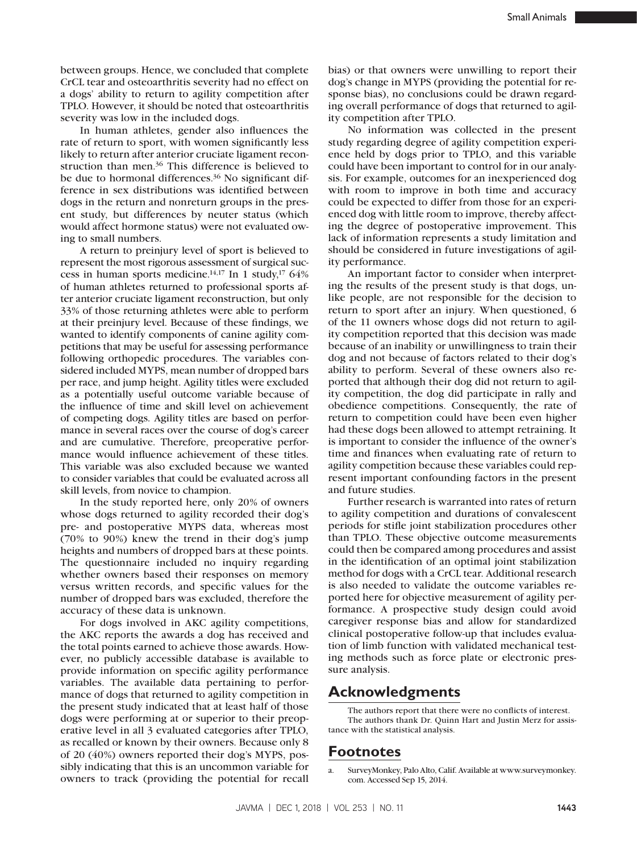between groups. Hence, we concluded that complete CrCL tear and osteoarthritis severity had no effect on a dogs' ability to return to agility competition after TPLO. However, it should be noted that osteoarthritis severity was low in the included dogs.

In human athletes, gender also influences the rate of return to sport, with women significantly less likely to return after anterior cruciate ligament reconstruction than men.36 This difference is believed to be due to hormonal differences.<sup>36</sup> No significant difference in sex distributions was identified between dogs in the return and nonreturn groups in the present study, but differences by neuter status (which would affect hormone status) were not evaluated owing to small numbers.

A return to preinjury level of sport is believed to represent the most rigorous assessment of surgical success in human sports medicine.<sup>14,17</sup> In 1 study,<sup>17</sup> 64% of human athletes returned to professional sports after anterior cruciate ligament reconstruction, but only 33% of those returning athletes were able to perform at their preinjury level. Because of these findings, we wanted to identify components of canine agility competitions that may be useful for assessing performance following orthopedic procedures. The variables considered included MYPS, mean number of dropped bars per race, and jump height. Agility titles were excluded as a potentially useful outcome variable because of the influence of time and skill level on achievement of competing dogs. Agility titles are based on performance in several races over the course of dog's career and are cumulative. Therefore, preoperative performance would influence achievement of these titles. This variable was also excluded because we wanted to consider variables that could be evaluated across all skill levels, from novice to champion.

In the study reported here, only 20% of owners whose dogs returned to agility recorded their dog's pre- and postoperative MYPS data, whereas most (70% to 90%) knew the trend in their dog's jump heights and numbers of dropped bars at these points. The questionnaire included no inquiry regarding whether owners based their responses on memory versus written records, and specific values for the number of dropped bars was excluded, therefore the accuracy of these data is unknown.

For dogs involved in AKC agility competitions, the AKC reports the awards a dog has received and the total points earned to achieve those awards. However, no publicly accessible database is available to provide information on specific agility performance variables. The available data pertaining to performance of dogs that returned to agility competition in the present study indicated that at least half of those dogs were performing at or superior to their preoperative level in all 3 evaluated categories after TPLO, as recalled or known by their owners. Because only 8 of 20 (40%) owners reported their dog's MYPS, possibly indicating that this is an uncommon variable for owners to track (providing the potential for recall bias) or that owners were unwilling to report their dog's change in MYPS (providing the potential for response bias), no conclusions could be drawn regarding overall performance of dogs that returned to agility competition after TPLO.

No information was collected in the present study regarding degree of agility competition experience held by dogs prior to TPLO, and this variable could have been important to control for in our analysis. For example, outcomes for an inexperienced dog with room to improve in both time and accuracy could be expected to differ from those for an experienced dog with little room to improve, thereby affecting the degree of postoperative improvement. This lack of information represents a study limitation and should be considered in future investigations of agility performance.

An important factor to consider when interpreting the results of the present study is that dogs, unlike people, are not responsible for the decision to return to sport after an injury. When questioned, 6 of the 11 owners whose dogs did not return to agility competition reported that this decision was made because of an inability or unwillingness to train their dog and not because of factors related to their dog's ability to perform. Several of these owners also reported that although their dog did not return to agility competition, the dog did participate in rally and obedience competitions. Consequently, the rate of return to competition could have been even higher had these dogs been allowed to attempt retraining. It is important to consider the influence of the owner's time and finances when evaluating rate of return to agility competition because these variables could represent important confounding factors in the present and future studies.

Further research is warranted into rates of return to agility competition and durations of convalescent periods for stifle joint stabilization procedures other than TPLO. These objective outcome measurements could then be compared among procedures and assist in the identification of an optimal joint stabilization method for dogs with a CrCL tear. Additional research is also needed to validate the outcome variables reported here for objective measurement of agility performance. A prospective study design could avoid caregiver response bias and allow for standardized clinical postoperative follow-up that includes evaluation of limb function with validated mechanical testing methods such as force plate or electronic pressure analysis.

## **Acknowledgments**

The authors report that there were no conflicts of interest. The authors thank Dr. Quinn Hart and Justin Merz for assistance with the statistical analysis.

## **Footnotes**

SurveyMonkey, Palo Alto, Calif. Available at www.surveymonkey. com. Accessed Sep 15, 2014.